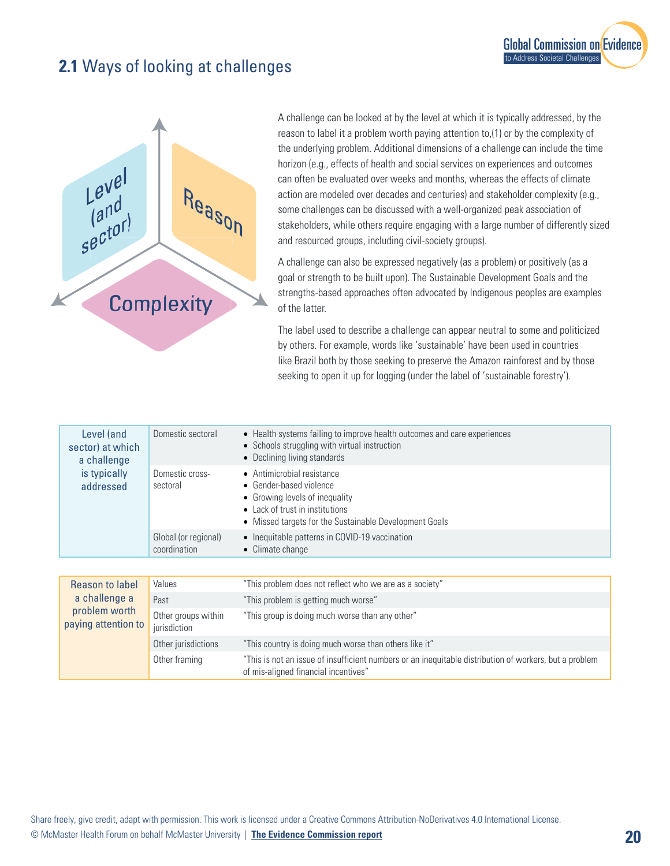## **2.1** Ways of looking at challenges



A challenge can be looked at by the level at which it is typically addressed, by the reason to label it a problem worth paying attention to,(1) or by the complexity of the underlying problem. Additional dimensions of a challenge can include the time horizon (e.g., effects of health and social services on experiences and outcomes can often be evaluated over weeks and months, whereas the effects of climate action are modeled over decades and centuries) and stakeholder complexity (e.g., some challenges can be discussed with a well-organized peak association of stakeholders, while others require engaging with a large number of differently sized and resourced groups, including civil-society groups).

**[Global Commission on Evidence](https://www.mcmasterforum.org/networks/evidence-commission/report/english)** 

to Address Societal Challenges

A challenge can also be expressed negatively (as a problem) or positively (as a goal or strength to be built upon). The Sustainable Development Goals and the strengths-based approaches often advocated by Indigenous peoples are examples of the latter.

The label used to describe a challenge can appear neutral to some and politicized by others. For example, words like 'sustainable' have been used in countries like Brazil both by those seeking to preserve the Amazon rainforest and by those seeking to open it up for logging (under the label of 'sustainable forestry').

| Level (and<br>sector) at which<br>a challenge<br>is typically<br>addressed | Domestic sectoral                    | • Health systems failing to improve health outcomes and care experiences<br>• Schools struggling with virtual instruction<br>• Declining living standards                            |
|----------------------------------------------------------------------------|--------------------------------------|--------------------------------------------------------------------------------------------------------------------------------------------------------------------------------------|
|                                                                            | Domestic cross-<br>sectoral          | • Antimicrobial resistance<br>• Gender-based violence<br>• Growing levels of inequality<br>• Lack of trust in institutions<br>• Missed targets for the Sustainable Development Goals |
|                                                                            | Global (or regional)<br>coordination | • Inequitable patterns in COVID-19 vaccination<br>• Climate change                                                                                                                   |
|                                                                            |                                      |                                                                                                                                                                                      |
| Reason to label<br>a challenge a<br>problem worth<br>paying attention to   | Values                               | "This problem does not reflect who we are as a society"                                                                                                                              |
|                                                                            | Past                                 | "This problem is getting much worse"                                                                                                                                                 |
|                                                                            | Other groups within<br>jurisdiction  | "This group is doing much worse than any other"                                                                                                                                      |

Other jurisdictions "This country is doing much worse than others like it" Other framing "This is not an issue of insufficient numbers or an inequitable distribution of workers, but a problem of mis-aligned financial incentives"